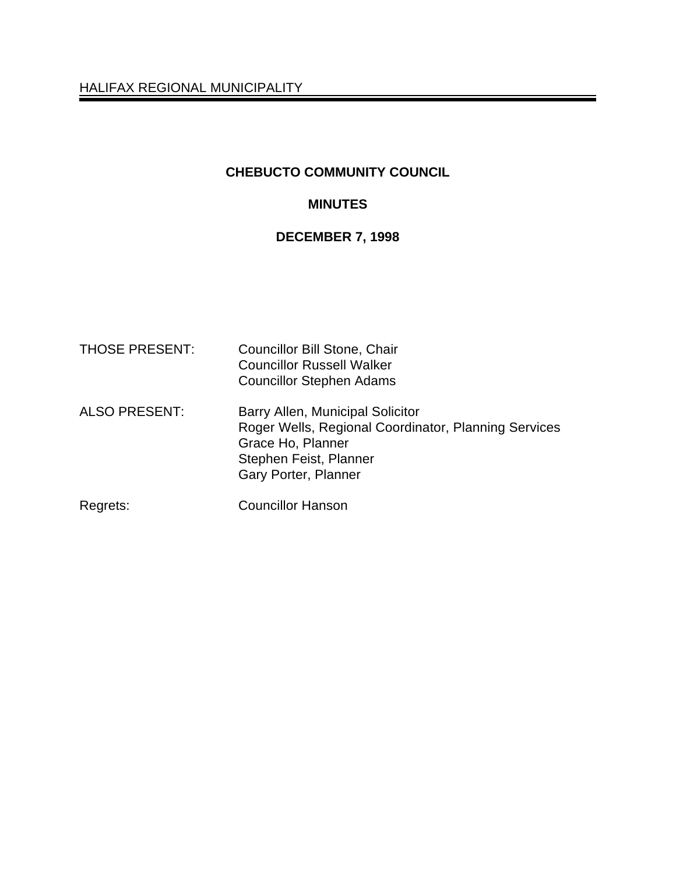HALIFAX REGIONAL MUNICIPALITY

# **CHEBUCTO COMMUNITY COUNCIL**

# **MINUTES**

# **DECEMBER 7, 1998**

| <b>THOSE PRESENT:</b> | <b>Councillor Bill Stone, Chair</b><br><b>Councillor Russell Walker</b><br><b>Councillor Stephen Adams</b>                                                      |
|-----------------------|-----------------------------------------------------------------------------------------------------------------------------------------------------------------|
| <b>ALSO PRESENT:</b>  | Barry Allen, Municipal Solicitor<br>Roger Wells, Regional Coordinator, Planning Services<br>Grace Ho, Planner<br>Stephen Feist, Planner<br>Gary Porter, Planner |
| Regrets:              | <b>Councillor Hanson</b>                                                                                                                                        |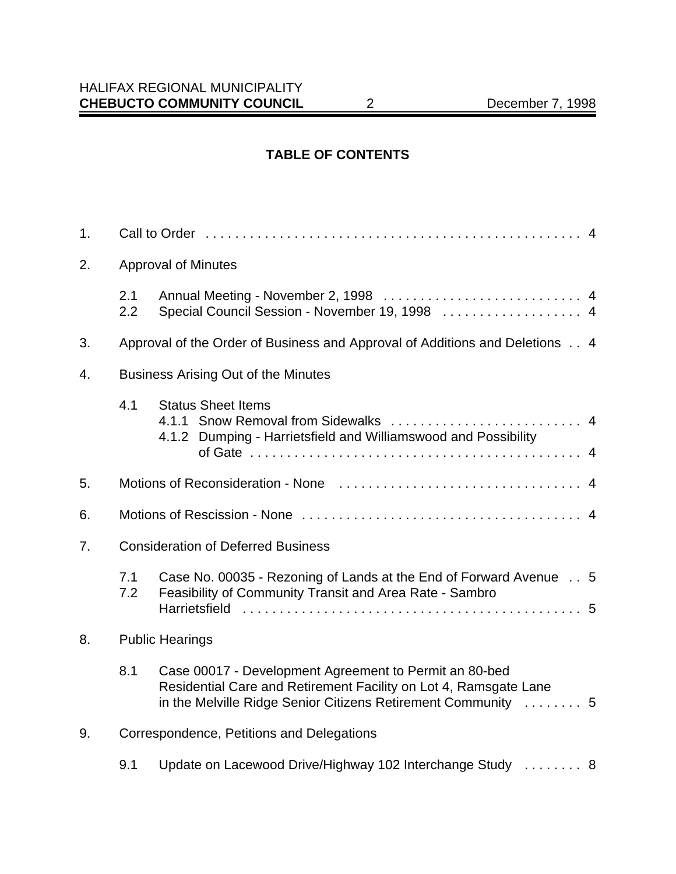# **TABLE OF CONTENTS**

| 1.                           |                                            |                                                                                                                                                                                             |  |  |
|------------------------------|--------------------------------------------|---------------------------------------------------------------------------------------------------------------------------------------------------------------------------------------------|--|--|
| 2.                           | <b>Approval of Minutes</b>                 |                                                                                                                                                                                             |  |  |
|                              | 2.1<br>2.2                                 | Special Council Session - November 19, 1998  4                                                                                                                                              |  |  |
| 3.                           |                                            | Approval of the Order of Business and Approval of Additions and Deletions 4                                                                                                                 |  |  |
| 4.                           | <b>Business Arising Out of the Minutes</b> |                                                                                                                                                                                             |  |  |
|                              | 4.1                                        | <b>Status Sheet Items</b><br>4.1.2 Dumping - Harrietsfield and Williamswood and Possibility                                                                                                 |  |  |
| 5.                           |                                            |                                                                                                                                                                                             |  |  |
| 6.                           |                                            |                                                                                                                                                                                             |  |  |
| 7.                           | <b>Consideration of Deferred Business</b>  |                                                                                                                                                                                             |  |  |
|                              | 7.1<br>7.2                                 | Case No. 00035 - Rezoning of Lands at the End of Forward Avenue 5<br>Feasibility of Community Transit and Area Rate - Sambro                                                                |  |  |
| <b>Public Hearings</b><br>8. |                                            |                                                                                                                                                                                             |  |  |
|                              | 8.1                                        | Case 00017 - Development Agreement to Permit an 80-bed<br>Residential Care and Retirement Facility on Lot 4, Ramsgate Lane<br>in the Melville Ridge Senior Citizens Retirement Community  5 |  |  |
| 9.                           |                                            | Correspondence, Petitions and Delegations                                                                                                                                                   |  |  |
|                              | 9.1                                        | Update on Lacewood Drive/Highway 102 Interchange Study  8                                                                                                                                   |  |  |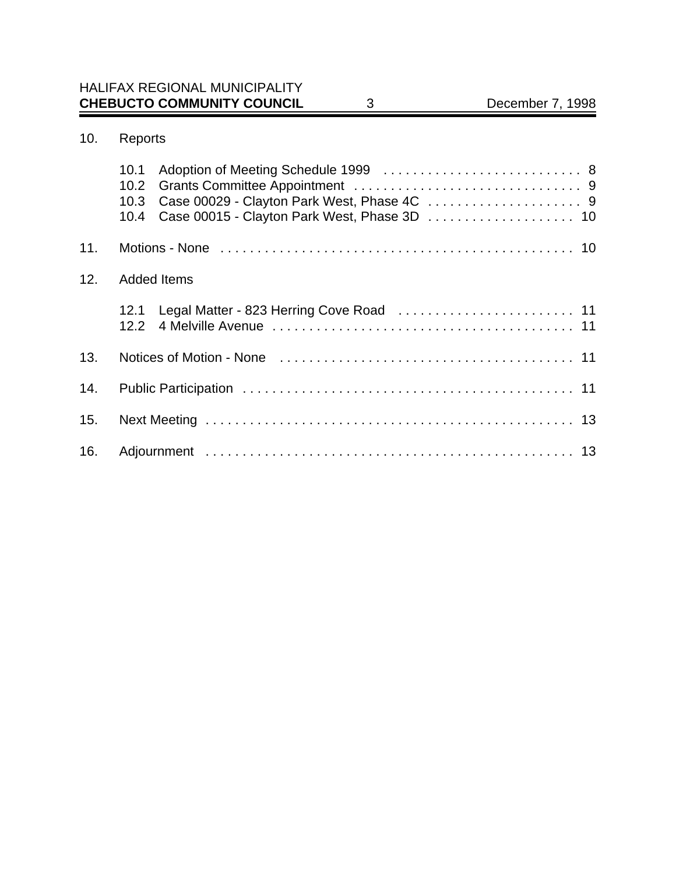| 10.<br>Reports |  |
|----------------|--|
|----------------|--|

|     | 10.1<br>Case 00015 - Clayton Park West, Phase 3D  10<br>10.4 |
|-----|--------------------------------------------------------------|
| 11. |                                                              |
| 12. | <b>Added Items</b>                                           |
|     | Legal Matter - 823 Herring Cove Road  11<br>12.1             |
| 13. |                                                              |
| 14. |                                                              |
| 15. |                                                              |
| 16. |                                                              |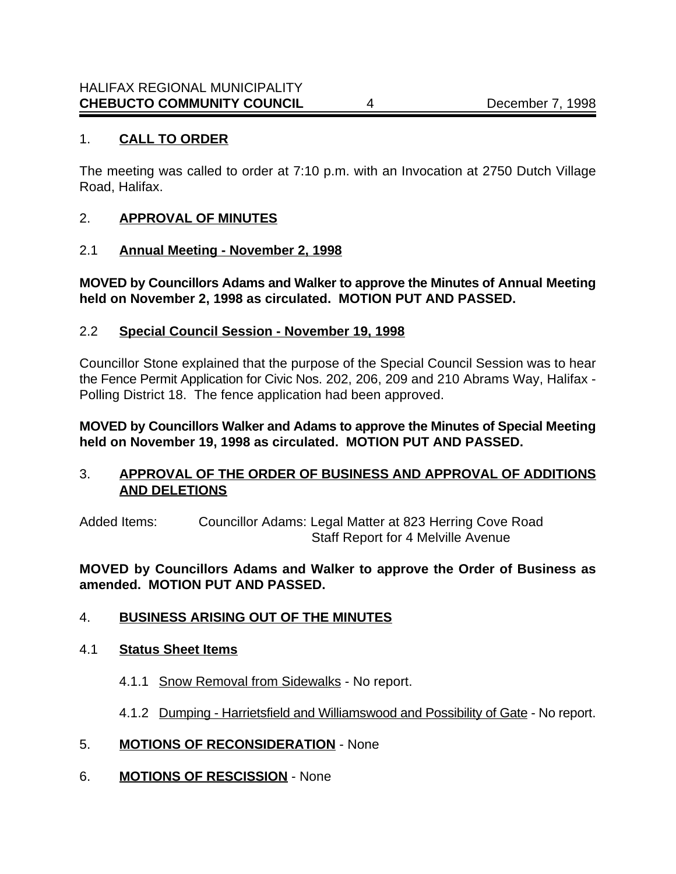### 1. **CALL TO ORDER**

The meeting was called to order at 7:10 p.m. with an Invocation at 2750 Dutch Village Road, Halifax.

### 2. **APPROVAL OF MINUTES**

#### 2.1 **Annual Meeting - November 2, 1998**

**MOVED by Councillors Adams and Walker to approve the Minutes of Annual Meeting held on November 2, 1998 as circulated. MOTION PUT AND PASSED.**

#### 2.2 **Special Council Session - November 19, 1998**

Councillor Stone explained that the purpose of the Special Council Session was to hear the Fence Permit Application for Civic Nos. 202, 206, 209 and 210 Abrams Way, Halifax - Polling District 18. The fence application had been approved.

**MOVED by Councillors Walker and Adams to approve the Minutes of Special Meeting held on November 19, 1998 as circulated. MOTION PUT AND PASSED.** 

### 3. **APPROVAL OF THE ORDER OF BUSINESS AND APPROVAL OF ADDITIONS AND DELETIONS**

Added Items: Councillor Adams: Legal Matter at 823 Herring Cove Road Staff Report for 4 Melville Avenue

### **MOVED by Councillors Adams and Walker to approve the Order of Business as amended. MOTION PUT AND PASSED.**

### 4. **BUSINESS ARISING OUT OF THE MINUTES**

#### 4.1 **Status Sheet Items**

- 4.1.1 Snow Removal from Sidewalks No report.
- 4.1.2 Dumping Harrietsfield and Williamswood and Possibility of Gate No report.
- 5. **MOTIONS OF RECONSIDERATION** None
- 6. **MOTIONS OF RESCISSION** None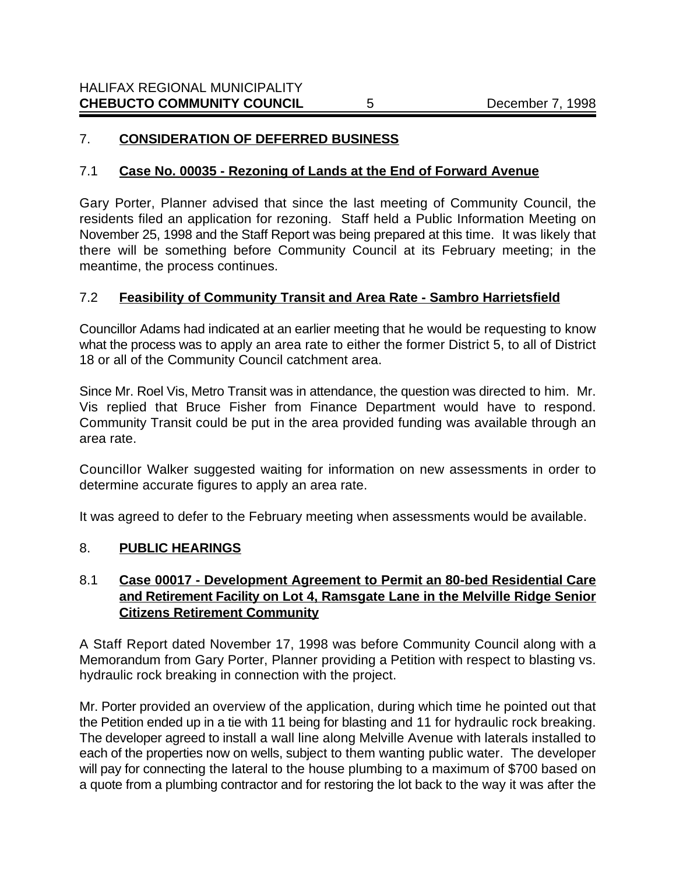# 7. **CONSIDERATION OF DEFERRED BUSINESS**

### 7.1 **Case No. 00035 - Rezoning of Lands at the End of Forward Avenue**

Gary Porter, Planner advised that since the last meeting of Community Council, the residents filed an application for rezoning. Staff held a Public Information Meeting on November 25, 1998 and the Staff Report was being prepared at this time. It was likely that there will be something before Community Council at its February meeting; in the meantime, the process continues.

### 7.2 **Feasibility of Community Transit and Area Rate - Sambro Harrietsfield**

Councillor Adams had indicated at an earlier meeting that he would be requesting to know what the process was to apply an area rate to either the former District 5, to all of District 18 or all of the Community Council catchment area.

Since Mr. Roel Vis, Metro Transit was in attendance, the question was directed to him. Mr. Vis replied that Bruce Fisher from Finance Department would have to respond. Community Transit could be put in the area provided funding was available through an area rate.

Councillor Walker suggested waiting for information on new assessments in order to determine accurate figures to apply an area rate.

It was agreed to defer to the February meeting when assessments would be available.

### 8. **PUBLIC HEARINGS**

# 8.1 **Case 00017 - Development Agreement to Permit an 80-bed Residential Care and Retirement Facility on Lot 4, Ramsgate Lane in the Melville Ridge Senior Citizens Retirement Community**

A Staff Report dated November 17, 1998 was before Community Council along with a Memorandum from Gary Porter, Planner providing a Petition with respect to blasting vs. hydraulic rock breaking in connection with the project.

Mr. Porter provided an overview of the application, during which time he pointed out that the Petition ended up in a tie with 11 being for blasting and 11 for hydraulic rock breaking. The developer agreed to install a wall line along Melville Avenue with laterals installed to each of the properties now on wells, subject to them wanting public water. The developer will pay for connecting the lateral to the house plumbing to a maximum of \$700 based on a quote from a plumbing contractor and for restoring the lot back to the way it was after the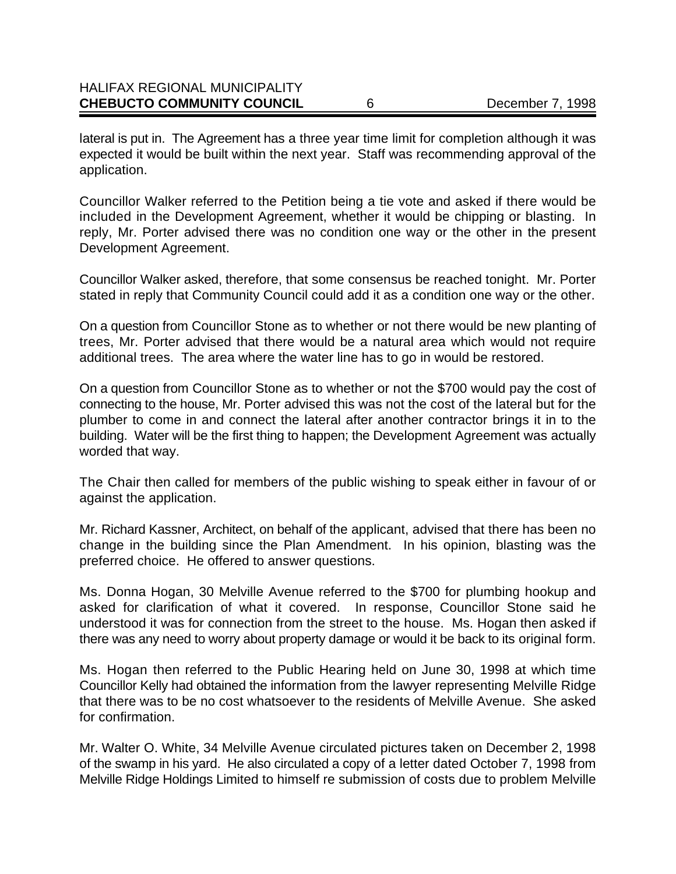| <b>CHEBUCTO COMMUNITY COUNCIL</b>    | December 7, 1998 |
|--------------------------------------|------------------|
| <b>HALIFAX REGIONAL MUNICIPALITY</b> |                  |

lateral is put in. The Agreement has a three year time limit for completion although it was expected it would be built within the next year. Staff was recommending approval of the application.

Councillor Walker referred to the Petition being a tie vote and asked if there would be included in the Development Agreement, whether it would be chipping or blasting. In reply, Mr. Porter advised there was no condition one way or the other in the present Development Agreement.

Councillor Walker asked, therefore, that some consensus be reached tonight. Mr. Porter stated in reply that Community Council could add it as a condition one way or the other.

On a question from Councillor Stone as to whether or not there would be new planting of trees, Mr. Porter advised that there would be a natural area which would not require additional trees. The area where the water line has to go in would be restored.

On a question from Councillor Stone as to whether or not the \$700 would pay the cost of connecting to the house, Mr. Porter advised this was not the cost of the lateral but for the plumber to come in and connect the lateral after another contractor brings it in to the building. Water will be the first thing to happen; the Development Agreement was actually worded that way.

The Chair then called for members of the public wishing to speak either in favour of or against the application.

Mr. Richard Kassner, Architect, on behalf of the applicant, advised that there has been no change in the building since the Plan Amendment. In his opinion, blasting was the preferred choice. He offered to answer questions.

Ms. Donna Hogan, 30 Melville Avenue referred to the \$700 for plumbing hookup and asked for clarification of what it covered. In response, Councillor Stone said he understood it was for connection from the street to the house. Ms. Hogan then asked if there was any need to worry about property damage or would it be back to its original form.

Ms. Hogan then referred to the Public Hearing held on June 30, 1998 at which time Councillor Kelly had obtained the information from the lawyer representing Melville Ridge that there was to be no cost whatsoever to the residents of Melville Avenue. She asked for confirmation.

Mr. Walter O. White, 34 Melville Avenue circulated pictures taken on December 2, 1998 of the swamp in his yard. He also circulated a copy of a letter dated October 7, 1998 from Melville Ridge Holdings Limited to himself re submission of costs due to problem Melville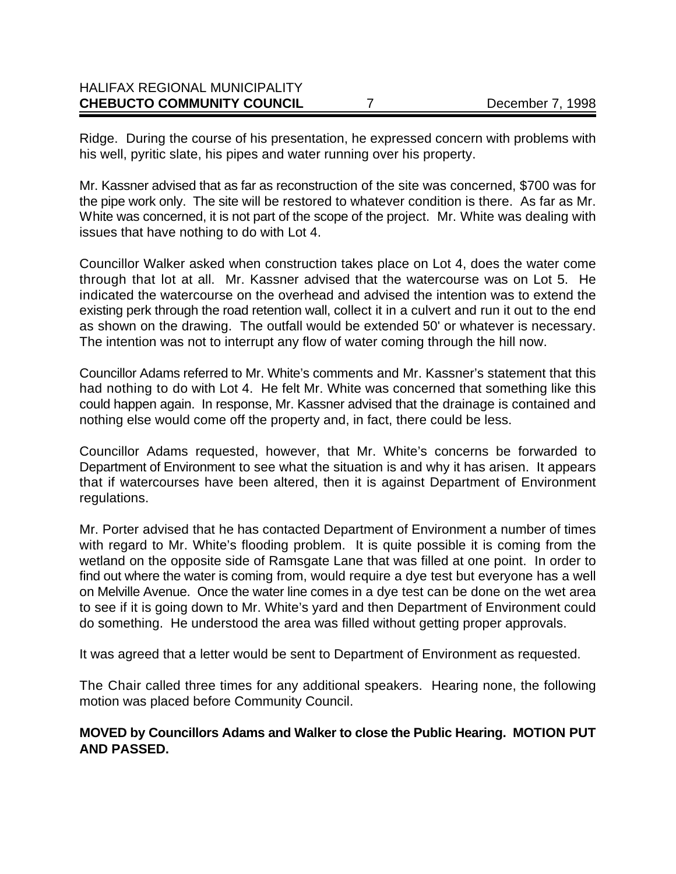# HALIFAX REGIONAL MUNICIPALITY **CHEBUCTO COMMUNITY COUNCIL** 7 2 December 7, 1998

Ridge. During the course of his presentation, he expressed concern with problems with his well, pyritic slate, his pipes and water running over his property.

Mr. Kassner advised that as far as reconstruction of the site was concerned, \$700 was for the pipe work only. The site will be restored to whatever condition is there. As far as Mr. White was concerned, it is not part of the scope of the project. Mr. White was dealing with issues that have nothing to do with Lot 4.

Councillor Walker asked when construction takes place on Lot 4, does the water come through that lot at all. Mr. Kassner advised that the watercourse was on Lot 5. He indicated the watercourse on the overhead and advised the intention was to extend the existing perk through the road retention wall, collect it in a culvert and run it out to the end as shown on the drawing. The outfall would be extended 50' or whatever is necessary. The intention was not to interrupt any flow of water coming through the hill now.

Councillor Adams referred to Mr. White's comments and Mr. Kassner's statement that this had nothing to do with Lot 4. He felt Mr. White was concerned that something like this could happen again. In response, Mr. Kassner advised that the drainage is contained and nothing else would come off the property and, in fact, there could be less.

Councillor Adams requested, however, that Mr. White's concerns be forwarded to Department of Environment to see what the situation is and why it has arisen. It appears that if watercourses have been altered, then it is against Department of Environment regulations.

Mr. Porter advised that he has contacted Department of Environment a number of times with regard to Mr. White's flooding problem. It is quite possible it is coming from the wetland on the opposite side of Ramsgate Lane that was filled at one point. In order to find out where the water is coming from, would require a dye test but everyone has a well on Melville Avenue. Once the water line comes in a dye test can be done on the wet area to see if it is going down to Mr. White's yard and then Department of Environment could do something. He understood the area was filled without getting proper approvals.

It was agreed that a letter would be sent to Department of Environment as requested.

The Chair called three times for any additional speakers. Hearing none, the following motion was placed before Community Council.

### **MOVED by Councillors Adams and Walker to close the Public Hearing. MOTION PUT AND PASSED.**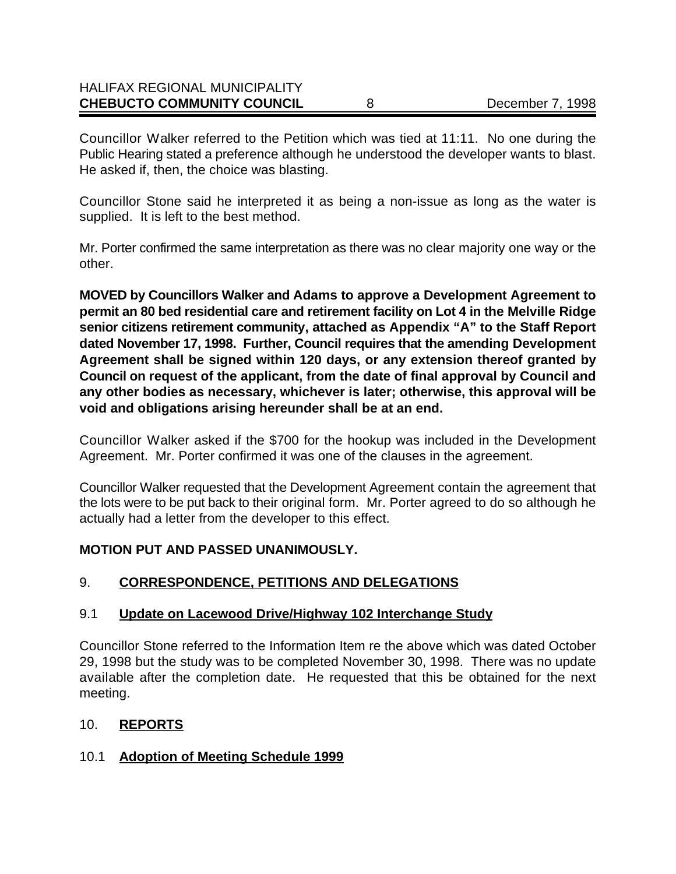# HALIFAX REGIONAL MUNICIPALITY **CHEBUCTO COMMUNITY COUNCIL** 8 December 7, 1998

Councillor Walker referred to the Petition which was tied at 11:11. No one during the Public Hearing stated a preference although he understood the developer wants to blast. He asked if, then, the choice was blasting.

Councillor Stone said he interpreted it as being a non-issue as long as the water is supplied. It is left to the best method.

Mr. Porter confirmed the same interpretation as there was no clear majority one way or the other.

**MOVED by Councillors Walker and Adams to approve a Development Agreement to permit an 80 bed residential care and retirement facility on Lot 4 in the Melville Ridge senior citizens retirement community, attached as Appendix "A" to the Staff Report dated November 17, 1998. Further, Council requires that the amending Development Agreement shall be signed within 120 days, or any extension thereof granted by Council on request of the applicant, from the date of final approval by Council and any other bodies as necessary, whichever is later; otherwise, this approval will be void and obligations arising hereunder shall be at an end.**

Councillor Walker asked if the \$700 for the hookup was included in the Development Agreement. Mr. Porter confirmed it was one of the clauses in the agreement.

Councillor Walker requested that the Development Agreement contain the agreement that the lots were to be put back to their original form. Mr. Porter agreed to do so although he actually had a letter from the developer to this effect.

### **MOTION PUT AND PASSED UNANIMOUSLY.**

# 9. **CORRESPONDENCE, PETITIONS AND DELEGATIONS**

### 9.1 **Update on Lacewood Drive/Highway 102 Interchange Study**

Councillor Stone referred to the Information Item re the above which was dated October 29, 1998 but the study was to be completed November 30, 1998. There was no update available after the completion date. He requested that this be obtained for the next meeting.

### 10. **REPORTS**

# 10.1 **Adoption of Meeting Schedule 1999**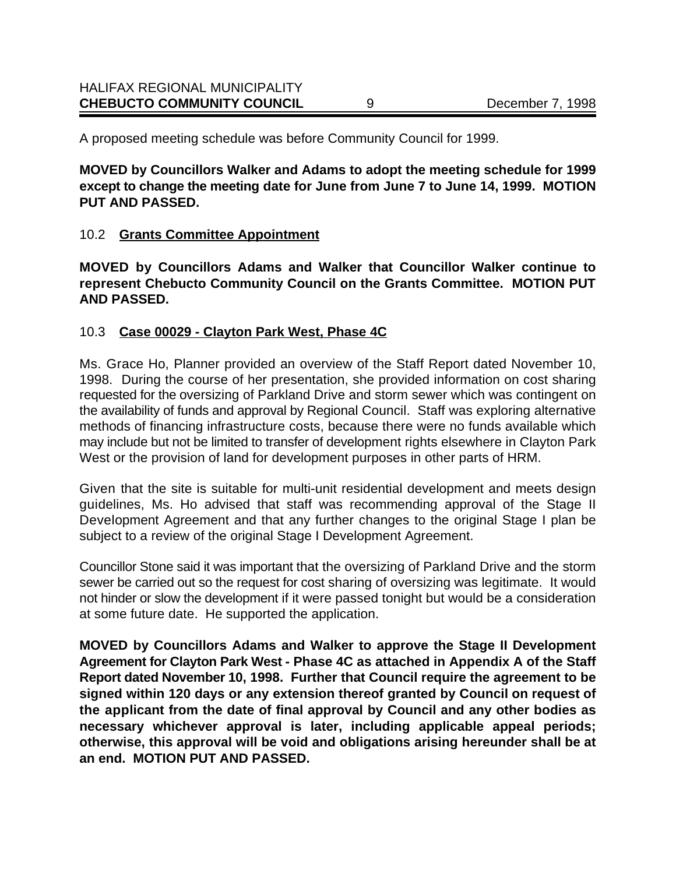A proposed meeting schedule was before Community Council for 1999.

**MOVED by Councillors Walker and Adams to adopt the meeting schedule for 1999 except to change the meeting date for June from June 7 to June 14, 1999. MOTION PUT AND PASSED.**

# 10.2 **Grants Committee Appointment**

**MOVED by Councillors Adams and Walker that Councillor Walker continue to represent Chebucto Community Council on the Grants Committee. MOTION PUT AND PASSED.**

# 10.3 **Case 00029 - Clayton Park West, Phase 4C**

Ms. Grace Ho, Planner provided an overview of the Staff Report dated November 10, 1998. During the course of her presentation, she provided information on cost sharing requested for the oversizing of Parkland Drive and storm sewer which was contingent on the availability of funds and approval by Regional Council. Staff was exploring alternative methods of financing infrastructure costs, because there were no funds available which may include but not be limited to transfer of development rights elsewhere in Clayton Park West or the provision of land for development purposes in other parts of HRM.

Given that the site is suitable for multi-unit residential development and meets design guidelines, Ms. Ho advised that staff was recommending approval of the Stage II Development Agreement and that any further changes to the original Stage I plan be subject to a review of the original Stage I Development Agreement.

Councillor Stone said it was important that the oversizing of Parkland Drive and the storm sewer be carried out so the request for cost sharing of oversizing was legitimate. It would not hinder or slow the development if it were passed tonight but would be a consideration at some future date. He supported the application.

**MOVED by Councillors Adams and Walker to approve the Stage II Development Agreement for Clayton Park West - Phase 4C as attached in Appendix A of the Staff Report dated November 10, 1998. Further that Council require the agreement to be signed within 120 days or any extension thereof granted by Council on request of the applicant from the date of final approval by Council and any other bodies as necessary whichever approval is later, including applicable appeal periods; otherwise, this approval will be void and obligations arising hereunder shall be at an end. MOTION PUT AND PASSED.**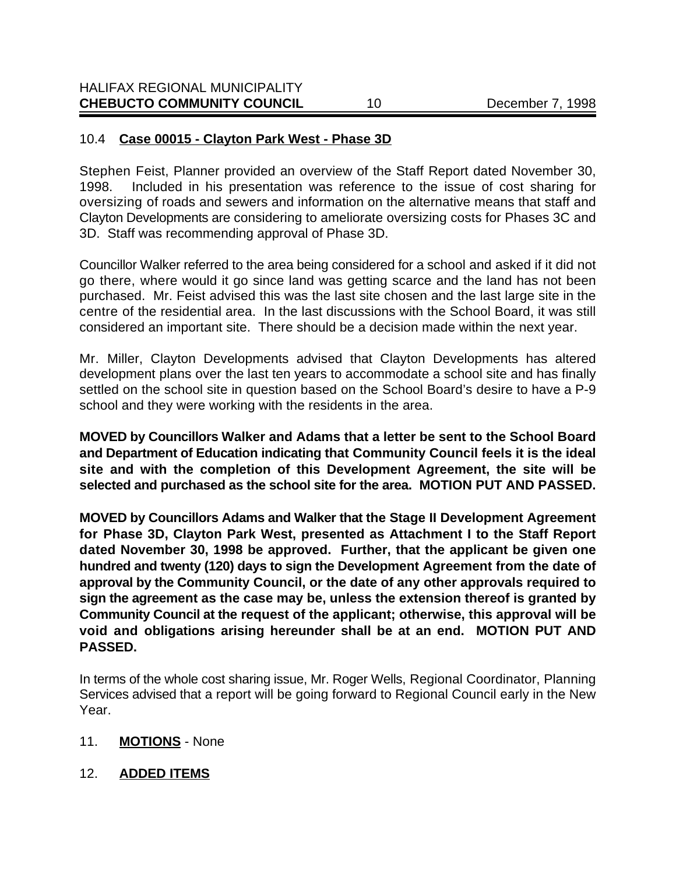# 10.4 **Case 00015 - Clayton Park West - Phase 3D**

Stephen Feist, Planner provided an overview of the Staff Report dated November 30, 1998. Included in his presentation was reference to the issue of cost sharing for oversizing of roads and sewers and information on the alternative means that staff and Clayton Developments are considering to ameliorate oversizing costs for Phases 3C and 3D. Staff was recommending approval of Phase 3D.

Councillor Walker referred to the area being considered for a school and asked if it did not go there, where would it go since land was getting scarce and the land has not been purchased. Mr. Feist advised this was the last site chosen and the last large site in the centre of the residential area. In the last discussions with the School Board, it was still considered an important site. There should be a decision made within the next year.

Mr. Miller, Clayton Developments advised that Clayton Developments has altered development plans over the last ten years to accommodate a school site and has finally settled on the school site in question based on the School Board's desire to have a P-9 school and they were working with the residents in the area.

**MOVED by Councillors Walker and Adams that a letter be sent to the School Board and Department of Education indicating that Community Council feels it is the ideal site and with the completion of this Development Agreement, the site will be selected and purchased as the school site for the area. MOTION PUT AND PASSED.**

**MOVED by Councillors Adams and Walker that the Stage II Development Agreement for Phase 3D, Clayton Park West, presented as Attachment I to the Staff Report dated November 30, 1998 be approved. Further, that the applicant be given one hundred and twenty (120) days to sign the Development Agreement from the date of approval by the Community Council, or the date of any other approvals required to sign the agreement as the case may be, unless the extension thereof is granted by Community Council at the request of the applicant; otherwise, this approval will be void and obligations arising hereunder shall be at an end. MOTION PUT AND PASSED.**

In terms of the whole cost sharing issue, Mr. Roger Wells, Regional Coordinator, Planning Services advised that a report will be going forward to Regional Council early in the New Year.

### 11. **MOTIONS** - None

12. **ADDED ITEMS**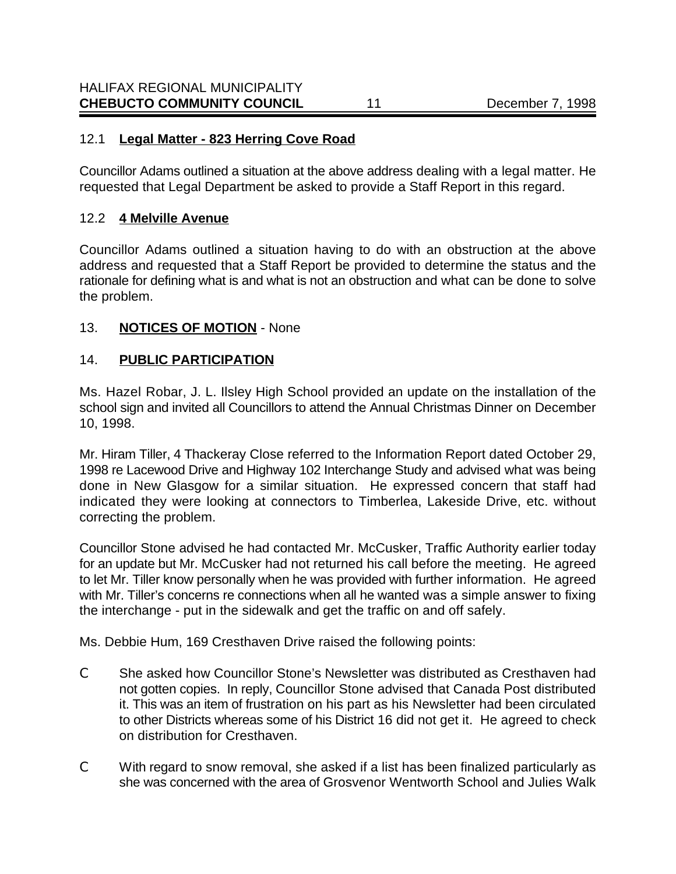### 12.1 **Legal Matter - 823 Herring Cove Road**

Councillor Adams outlined a situation at the above address dealing with a legal matter. He requested that Legal Department be asked to provide a Staff Report in this regard.

### 12.2 **4 Melville Avenue**

Councillor Adams outlined a situation having to do with an obstruction at the above address and requested that a Staff Report be provided to determine the status and the rationale for defining what is and what is not an obstruction and what can be done to solve the problem.

# 13. **NOTICES OF MOTION** - None

# 14. **PUBLIC PARTICIPATION**

Ms. Hazel Robar, J. L. Ilsley High School provided an update on the installation of the school sign and invited all Councillors to attend the Annual Christmas Dinner on December 10, 1998.

Mr. Hiram Tiller, 4 Thackeray Close referred to the Information Report dated October 29, 1998 re Lacewood Drive and Highway 102 Interchange Study and advised what was being done in New Glasgow for a similar situation. He expressed concern that staff had indicated they were looking at connectors to Timberlea, Lakeside Drive, etc. without correcting the problem.

Councillor Stone advised he had contacted Mr. McCusker, Traffic Authority earlier today for an update but Mr. McCusker had not returned his call before the meeting. He agreed to let Mr. Tiller know personally when he was provided with further information. He agreed with Mr. Tiller's concerns re connections when all he wanted was a simple answer to fixing the interchange - put in the sidewalk and get the traffic on and off safely.

Ms. Debbie Hum, 169 Cresthaven Drive raised the following points:

- C She asked how Councillor Stone's Newsletter was distributed as Cresthaven had not gotten copies. In reply, Councillor Stone advised that Canada Post distributed it. This was an item of frustration on his part as his Newsletter had been circulated to other Districts whereas some of his District 16 did not get it. He agreed to check on distribution for Cresthaven.
- C With regard to snow removal, she asked if a list has been finalized particularly as she was concerned with the area of Grosvenor Wentworth School and Julies Walk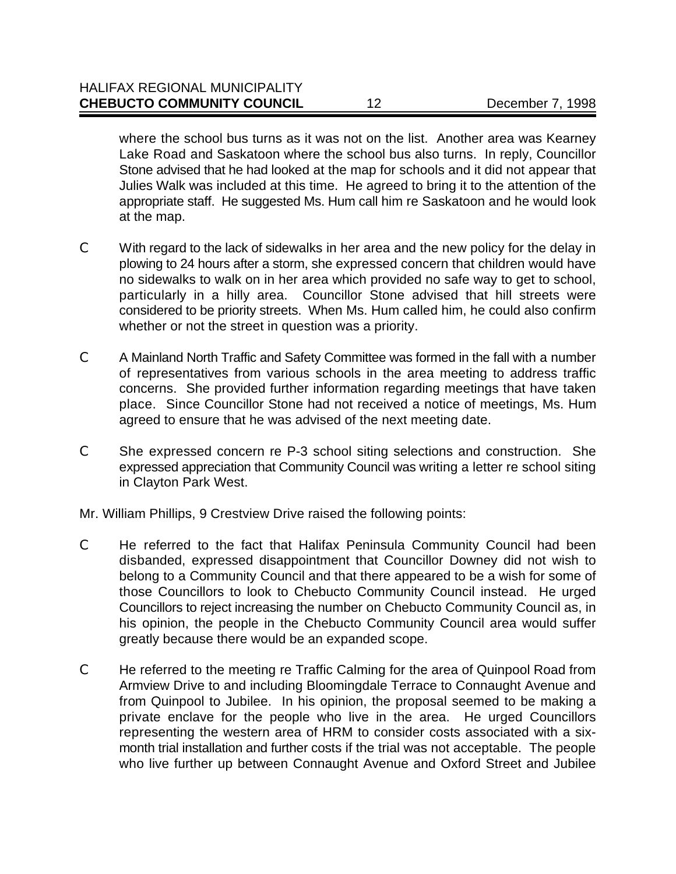where the school bus turns as it was not on the list. Another area was Kearney Lake Road and Saskatoon where the school bus also turns. In reply, Councillor Stone advised that he had looked at the map for schools and it did not appear that Julies Walk was included at this time. He agreed to bring it to the attention of the appropriate staff. He suggested Ms. Hum call him re Saskatoon and he would look at the map.

- C With regard to the lack of sidewalks in her area and the new policy for the delay in plowing to 24 hours after a storm, she expressed concern that children would have no sidewalks to walk on in her area which provided no safe way to get to school, particularly in a hilly area. Councillor Stone advised that hill streets were considered to be priority streets. When Ms. Hum called him, he could also confirm whether or not the street in question was a priority.
- C A Mainland North Traffic and Safety Committee was formed in the fall with a number of representatives from various schools in the area meeting to address traffic concerns. She provided further information regarding meetings that have taken place. Since Councillor Stone had not received a notice of meetings, Ms. Hum agreed to ensure that he was advised of the next meeting date.
- C She expressed concern re P-3 school siting selections and construction. She expressed appreciation that Community Council was writing a letter re school siting in Clayton Park West.

Mr. William Phillips, 9 Crestview Drive raised the following points:

- C He referred to the fact that Halifax Peninsula Community Council had been disbanded, expressed disappointment that Councillor Downey did not wish to belong to a Community Council and that there appeared to be a wish for some of those Councillors to look to Chebucto Community Council instead. He urged Councillors to reject increasing the number on Chebucto Community Council as, in his opinion, the people in the Chebucto Community Council area would suffer greatly because there would be an expanded scope.
- C He referred to the meeting re Traffic Calming for the area of Quinpool Road from Armview Drive to and including Bloomingdale Terrace to Connaught Avenue and from Quinpool to Jubilee. In his opinion, the proposal seemed to be making a private enclave for the people who live in the area. He urged Councillors representing the western area of HRM to consider costs associated with a sixmonth trial installation and further costs if the trial was not acceptable. The people who live further up between Connaught Avenue and Oxford Street and Jubilee